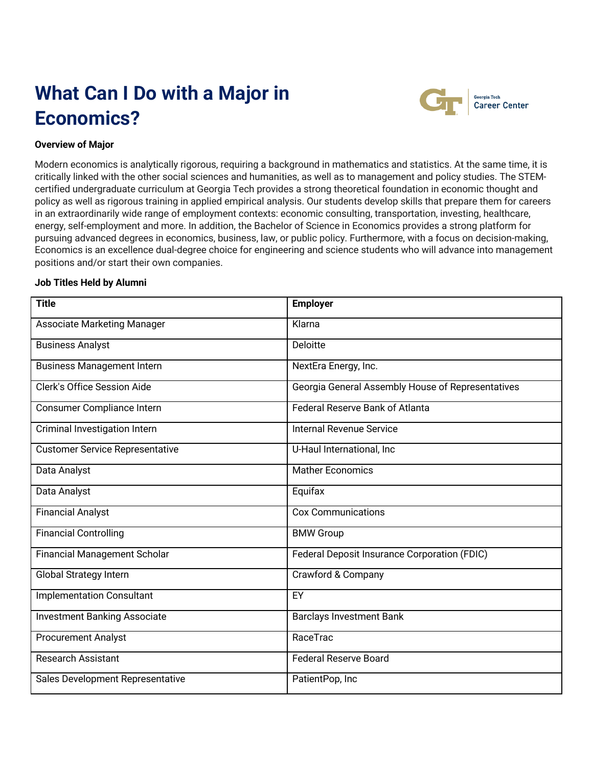# **What Can I Do with a Major in Economics?**



## **Overview of Major**

Modern economics is analytically rigorous, requiring a background in mathematics and statistics. At the same time, it is critically linked with the other social sciences and humanities, as well as to management and policy studies. The STEMcertified undergraduate curriculum at Georgia Tech provides a strong theoretical foundation in economic thought and policy as well as rigorous training in applied empirical analysis. Our students develop skills that prepare them for careers in an extraordinarily wide range of employment contexts: economic consulting, transportation, investing, healthcare, energy, self-employment and more. In addition, the Bachelor of Science in Economics provides a strong platform for pursuing advanced degrees in economics, business, law, or public policy. Furthermore, with a focus on decision-making, Economics is an excellence dual-degree choice for engineering and science students who will advance into management positions and/or start their own companies.

#### **Job Titles Held by Alumni**

| <b>Title</b>                           | <b>Employer</b>                                   |  |
|----------------------------------------|---------------------------------------------------|--|
| <b>Associate Marketing Manager</b>     | Klarna                                            |  |
| <b>Business Analyst</b>                | <b>Deloitte</b>                                   |  |
| <b>Business Management Intern</b>      | NextEra Energy, Inc.                              |  |
| <b>Clerk's Office Session Aide</b>     | Georgia General Assembly House of Representatives |  |
| Consumer Compliance Intern             | <b>Federal Reserve Bank of Atlanta</b>            |  |
| Criminal Investigation Intern          | <b>Internal Revenue Service</b>                   |  |
| <b>Customer Service Representative</b> | U-Haul International, Inc                         |  |
| Data Analyst                           | <b>Mather Economics</b>                           |  |
| Data Analyst                           | Equifax                                           |  |
| <b>Financial Analyst</b>               | <b>Cox Communications</b>                         |  |
| <b>Financial Controlling</b>           | <b>BMW Group</b>                                  |  |
| <b>Financial Management Scholar</b>    | Federal Deposit Insurance Corporation (FDIC)      |  |
| <b>Global Strategy Intern</b>          | Crawford & Company                                |  |
| <b>Implementation Consultant</b>       | EY                                                |  |
| <b>Investment Banking Associate</b>    | <b>Barclays Investment Bank</b>                   |  |
| <b>Procurement Analyst</b>             | RaceTrac                                          |  |
| <b>Research Assistant</b>              | <b>Federal Reserve Board</b>                      |  |
| Sales Development Representative       | PatientPop, Inc                                   |  |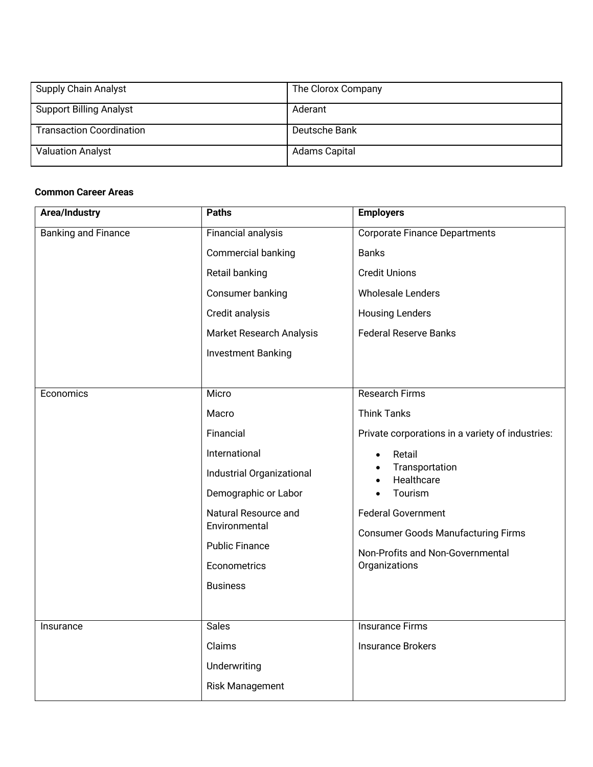| Supply Chain Analyst            | The Clorox Company   |
|---------------------------------|----------------------|
| <b>Support Billing Analyst</b>  | Aderant              |
| <b>Transaction Coordination</b> | Deutsche Bank        |
| <b>Valuation Analyst</b>        | <b>Adams Capital</b> |

## **Common Career Areas**

| Area/Industry              | <b>Paths</b>              | <b>Employers</b>                                 |
|----------------------------|---------------------------|--------------------------------------------------|
| <b>Banking and Finance</b> | Financial analysis        | <b>Corporate Finance Departments</b>             |
|                            | Commercial banking        | <b>Banks</b>                                     |
|                            | Retail banking            | <b>Credit Unions</b>                             |
|                            | Consumer banking          | <b>Wholesale Lenders</b>                         |
|                            | Credit analysis           | <b>Housing Lenders</b>                           |
|                            | Market Research Analysis  | <b>Federal Reserve Banks</b>                     |
|                            | <b>Investment Banking</b> |                                                  |
|                            |                           |                                                  |
| Economics                  | Micro                     | <b>Research Firms</b>                            |
|                            | Macro                     | <b>Think Tanks</b>                               |
|                            | Financial                 | Private corporations in a variety of industries: |
|                            | International             | Retail                                           |
|                            | Industrial Organizational | Transportation<br>$\bullet$<br>Healthcare        |
|                            | Demographic or Labor      | Tourism<br>$\bullet$                             |
|                            | Natural Resource and      | <b>Federal Government</b>                        |
|                            | Environmental             | <b>Consumer Goods Manufacturing Firms</b>        |
| <b>Public Finance</b>      |                           | Non-Profits and Non-Governmental                 |
|                            | Econometrics              | Organizations                                    |
|                            | <b>Business</b>           |                                                  |
|                            |                           |                                                  |
| Insurance                  | <b>Sales</b>              | <b>Insurance Firms</b>                           |
|                            | Claims                    | <b>Insurance Brokers</b>                         |
|                            | Underwriting              |                                                  |
|                            | <b>Risk Management</b>    |                                                  |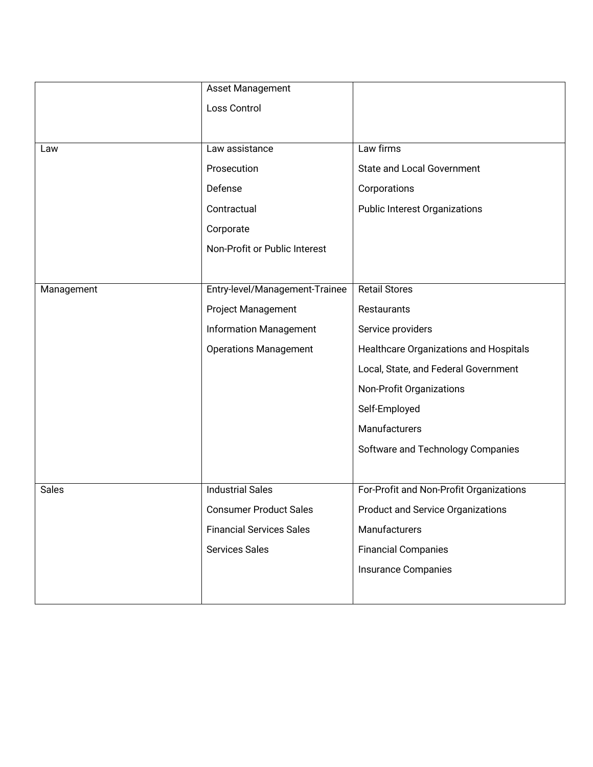| Asset Management                |                                          |
|---------------------------------|------------------------------------------|
| <b>Loss Control</b>             |                                          |
|                                 |                                          |
| Law assistance                  | Law firms                                |
| Prosecution                     | <b>State and Local Government</b>        |
| Defense                         | Corporations                             |
| Contractual                     | <b>Public Interest Organizations</b>     |
| Corporate                       |                                          |
| Non-Profit or Public Interest   |                                          |
|                                 |                                          |
| Entry-level/Management-Trainee  | <b>Retail Stores</b>                     |
| Project Management              | Restaurants                              |
| <b>Information Management</b>   | Service providers                        |
| <b>Operations Management</b>    | Healthcare Organizations and Hospitals   |
|                                 | Local, State, and Federal Government     |
|                                 | Non-Profit Organizations                 |
|                                 | Self-Employed                            |
|                                 | Manufacturers                            |
|                                 | Software and Technology Companies        |
|                                 |                                          |
| <b>Industrial Sales</b>         | For-Profit and Non-Profit Organizations  |
| <b>Consumer Product Sales</b>   | <b>Product and Service Organizations</b> |
| <b>Financial Services Sales</b> | Manufacturers                            |
| <b>Services Sales</b>           | <b>Financial Companies</b>               |
|                                 | <b>Insurance Companies</b>               |
|                                 |                                          |
|                                 |                                          |